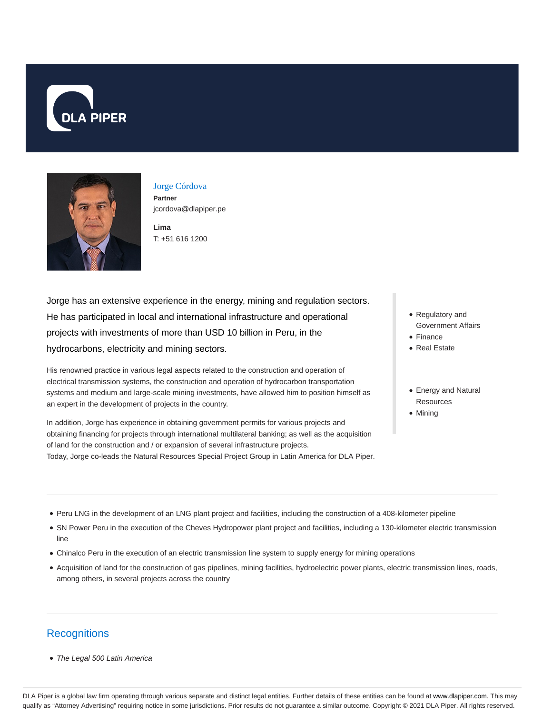



## Jorge Córdova **Partner**

jcordova@dlapiper.pe

T: +51 616 1200

**Lima**

Jorge has an extensive experience in the energy, mining and regulation sectors. He has participated in local and international infrastructure and operational projects with investments of more than USD 10 billion in Peru, in the hydrocarbons, electricity and mining sectors.

His renowned practice in various legal aspects related to the construction and operation of electrical transmission systems, the construction and operation of hydrocarbon transportation systems and medium and large-scale mining investments, have allowed him to position himself as an expert in the development of projects in the country.

In addition, Jorge has experience in obtaining government permits for various projects and obtaining financing for projects through international multilateral banking; as well as the acquisition of land for the construction and / or expansion of several infrastructure projects. Today, Jorge co-leads the Natural Resources Special Project Group in Latin America for DLA Piper.

- Regulatory and Government Affairs
- Finance
- Real Estate
- Energy and Natural **Resources**
- Mining

- Peru LNG in the development of an LNG plant project and facilities, including the construction of a 408-kilometer pipeline
- SN Power Peru in the execution of the Cheves Hydropower plant project and facilities, including a 130-kilometer electric transmission line
- Chinalco Peru in the execution of an electric transmission line system to supply energy for mining operations
- Acquisition of land for the construction of gas pipelines, mining facilities, hydroelectric power plants, electric transmission lines, roads, among others, in several projects across the country

## **Recognitions**

• The Legal 500 Latin America

DLA Piper is a global law firm operating through various separate and distinct legal entities. Further details of these entities can be found at www.dlapiper.com. This may qualify as "Attorney Advertising" requiring notice in some jurisdictions. Prior results do not guarantee a similar outcome. Copyright @ 2021 DLA Piper. All rights reserved.